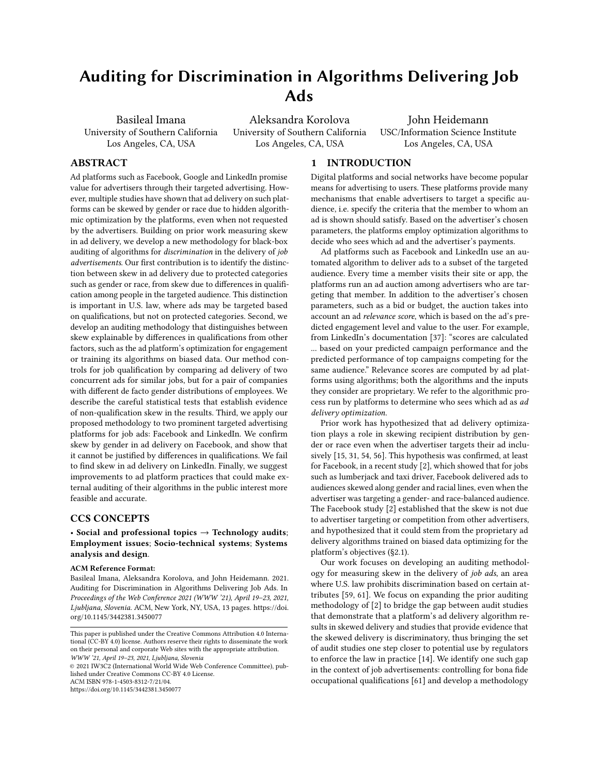# Auditing for Discrimination in Algorithms Delivering Job Ads

Basileal Imana University of Southern California Los Angeles, CA, USA

Aleksandra Korolova University of Southern California Los Angeles, CA, USA

John Heidemann USC/Information Science Institute Los Angeles, CA, USA

# ABSTRACT

Ad platforms such as Facebook, Google and LinkedIn promise value for advertisers through their targeted advertising. However, multiple studies have shown that ad delivery on such platforms can be skewed by gender or race due to hidden algorithmic optimization by the platforms, even when not requested by the advertisers. Building on prior work measuring skew in ad delivery, we develop a new methodology for black-box auditing of algorithms for discrimination in the delivery of job advertisements. Our first contribution is to identify the distinction between skew in ad delivery due to protected categories such as gender or race, from skew due to differences in qualification among people in the targeted audience. This distinction is important in U.S. law, where ads may be targeted based on qualifications, but not on protected categories. Second, we develop an auditing methodology that distinguishes between skew explainable by differences in qualifications from other factors, such as the ad platform's optimization for engagement or training its algorithms on biased data. Our method controls for job qualification by comparing ad delivery of two concurrent ads for similar jobs, but for a pair of companies with different de facto gender distributions of employees. We describe the careful statistical tests that establish evidence of non-qualification skew in the results. Third, we apply our proposed methodology to two prominent targeted advertising platforms for job ads: Facebook and LinkedIn. We confirm skew by gender in ad delivery on Facebook, and show that it cannot be justified by differences in qualifications. We fail to find skew in ad delivery on LinkedIn. Finally, we suggest improvements to ad platform practices that could make external auditing of their algorithms in the public interest more feasible and accurate.

# CCS CONCEPTS

# • Social and professional topics  $\rightarrow$  Technology audits; Employment issues; Socio-technical systems; Systems analysis and design.

#### ACM Reference Format:

Basileal Imana, Aleksandra Korolova, and John Heidemann. 2021. Auditing for Discrimination in Algorithms Delivering Job Ads. In Proceedings of the Web Conference 2021 (WWW '21), April 19–23, 2021, Ljubljana, Slovenia. ACM, New York, NY, USA, [13](#page-12-0) pages. [https://doi.](https://doi.org/10.1145/3442381.3450077) [org/10.1145/3442381.3450077](https://doi.org/10.1145/3442381.3450077)

© 2021 IW3C2 (International World Wide Web Conference Committee), published under Creative Commons CC-BY 4.0 License.

ACM ISBN 978-1-4503-8312-7/21/04.

<https://doi.org/10.1145/3442381.3450077>

# 1 INTRODUCTION

Digital platforms and social networks have become popular means for advertising to users. These platforms provide many mechanisms that enable advertisers to target a specific audience, i.e. specify the criteria that the member to whom an ad is shown should satisfy. Based on the advertiser's chosen parameters, the platforms employ optimization algorithms to decide who sees which ad and the advertiser's payments.

Ad platforms such as Facebook and LinkedIn use an automated algorithm to deliver ads to a subset of the targeted audience. Every time a member visits their site or app, the platforms run an ad auction among advertisers who are targeting that member. In addition to the advertiser's chosen parameters, such as a bid or budget, the auction takes into account an ad relevance score, which is based on the ad's predicted engagement level and value to the user. For example, from LinkedIn's documentation [\[37\]](#page-11-0): "scores are calculated ... based on your predicted campaign performance and the predicted performance of top campaigns competing for the same audience." Relevance scores are computed by ad platforms using algorithms; both the algorithms and the inputs they consider are proprietary. We refer to the algorithmic process run by platforms to determine who sees which ad as ad delivery optimization.

Prior work has hypothesized that ad delivery optimization plays a role in skewing recipient distribution by gender or race even when the advertiser targets their ad inclusively [\[15,](#page-11-1) [31,](#page-11-2) [54,](#page-11-3) [56\]](#page-11-4). This hypothesis was confirmed, at least for Facebook, in a recent study [\[2\]](#page-11-5), which showed that for jobs such as lumberjack and taxi driver, Facebook delivered ads to audiences skewed along gender and racial lines, even when the advertiser was targeting a gender- and race-balanced audience. The Facebook study [\[2\]](#page-11-5) established that the skew is not due to advertiser targeting or competition from other advertisers, and hypothesized that it could stem from the proprietary ad delivery algorithms trained on biased data optimizing for the platform's objectives [\(§2.1\)](#page-1-0).

Our work focuses on developing an auditing methodology for measuring skew in the delivery of job ads, an area where U.S. law prohibits discrimination based on certain attributes [\[59,](#page-12-1) [61\]](#page-12-2). We focus on expanding the prior auditing methodology of [\[2\]](#page-11-5) to bridge the gap between audit studies that demonstrate that a platform's ad delivery algorithm results in skewed delivery and studies that provide evidence that the skewed delivery is discriminatory, thus bringing the set of audit studies one step closer to potential use by regulators to enforce the law in practice [\[14\]](#page-11-6). We identify one such gap in the context of job advertisements: controlling for bona fide occupational qualifications [\[61\]](#page-12-2) and develop a methodology

This paper is published under the Creative Commons Attribution 4.0 International (CC-BY 4.0) license. Authors reserve their rights to disseminate the work on their personal and corporate Web sites with the appropriate attribution. WWW '21, April 19–23, 2021, Ljubljana, Slovenia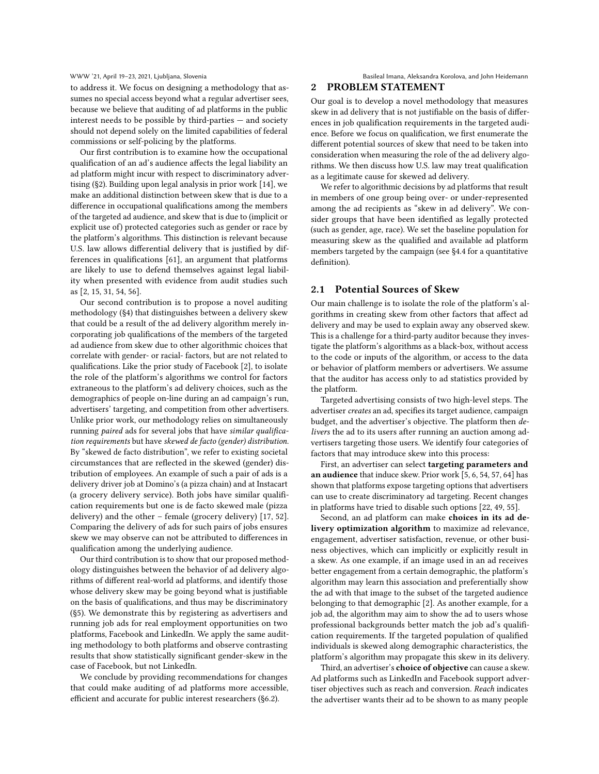to address it. We focus on designing a methodology that assumes no special access beyond what a regular advertiser sees, because we believe that auditing of ad platforms in the public interest needs to be possible by third-parties — and society should not depend solely on the limited capabilities of federal commissions or self-policing by the platforms.

Our first contribution is to examine how the occupational qualification of an ad's audience affects the legal liability an ad platform might incur with respect to discriminatory advertising [\(§2\)](#page-1-1). Building upon legal analysis in prior work [\[14\]](#page-11-6), we make an additional distinction between skew that is due to a difference in occupational qualifications among the members of the targeted ad audience, and skew that is due to (implicit or explicit use of) protected categories such as gender or race by the platform's algorithms. This distinction is relevant because U.S. law allows differential delivery that is justified by differences in qualifications [\[61\]](#page-12-2), an argument that platforms are likely to use to defend themselves against legal liability when presented with evidence from audit studies such as [\[2,](#page-11-5) [15,](#page-11-1) [31,](#page-11-2) [54,](#page-11-3) [56\]](#page-11-4).

Our second contribution is to propose a novel auditing methodology [\(§4\)](#page-4-0) that distinguishes between a delivery skew that could be a result of the ad delivery algorithm merely incorporating job qualifications of the members of the targeted ad audience from skew due to other algorithmic choices that correlate with gender- or racial- factors, but are not related to qualifications. Like the prior study of Facebook [\[2\]](#page-11-5), to isolate the role of the platform's algorithms we control for factors extraneous to the platform's ad delivery choices, such as the demographics of people on-line during an ad campaign's run, advertisers' targeting, and competition from other advertisers. Unlike prior work, our methodology relies on simultaneously running paired ads for several jobs that have similar qualification requirements but have skewed de facto (gender) distribution. By "skewed de facto distribution", we refer to existing societal circumstances that are reflected in the skewed (gender) distribution of employees. An example of such a pair of ads is a delivery driver job at Domino's (a pizza chain) and at Instacart (a grocery delivery service). Both jobs have similar qualification requirements but one is de facto skewed male (pizza delivery) and the other – female (grocery delivery) [\[17,](#page-11-7) [52\]](#page-11-8). Comparing the delivery of ads for such pairs of jobs ensures skew we may observe can not be attributed to differences in qualification among the underlying audience.

Our third contribution is to show that our proposed methodology distinguishes between the behavior of ad delivery algorithms of different real-world ad platforms, and identify those whose delivery skew may be going beyond what is justifiable on the basis of qualifications, and thus may be discriminatory [\(§5\)](#page-6-0). We demonstrate this by registering as advertisers and running job ads for real employment opportunities on two platforms, Facebook and LinkedIn. We apply the same auditing methodology to both platforms and observe contrasting results that show statistically significant gender-skew in the case of Facebook, but not LinkedIn.

We conclude by providing recommendations for changes that could make auditing of ad platforms more accessible, efficient and accurate for public interest researchers [\(§6.2\)](#page-10-0).

#### WWW '21, April 19–23, 2021, Ljubljana, Slovenia Basilea Basileal Imana, Aleksandra Korolova, and John Heidemann

# <span id="page-1-1"></span>PROBLEM STATEMENT

Our goal is to develop a novel methodology that measures skew in ad delivery that is not justifiable on the basis of differences in job qualification requirements in the targeted audience. Before we focus on qualification, we first enumerate the different potential sources of skew that need to be taken into consideration when measuring the role of the ad delivery algorithms. We then discuss how U.S. law may treat qualification as a legitimate cause for skewed ad delivery.

We refer to algorithmic decisions by ad platforms that result in members of one group being over- or under-represented among the ad recipients as "skew in ad delivery". We consider groups that have been identified as legally protected (such as gender, age, race). We set the baseline population for measuring skew as the qualified and available ad platform members targeted by the campaign (see [§4.4](#page-6-1) for a quantitative definition).

# <span id="page-1-0"></span>2.1 Potential Sources of Skew

Our main challenge is to isolate the role of the platform's algorithms in creating skew from other factors that affect ad delivery and may be used to explain away any observed skew. This is a challenge for a third-party auditor because they investigate the platform's algorithms as a black-box, without access to the code or inputs of the algorithm, or access to the data or behavior of platform members or advertisers. We assume that the auditor has access only to ad statistics provided by the platform.

Targeted advertising consists of two high-level steps. The advertiser creates an ad, specifies its target audience, campaign budget, and the advertiser's objective. The platform then delivers the ad to its users after running an auction among advertisers targeting those users. We identify four categories of factors that may introduce skew into this process:

First, an advertiser can select targeting parameters and an audience that induce skew. Prior work [\[5,](#page-11-9) [6,](#page-11-10) [54,](#page-11-3) [57,](#page-12-3) [64\]](#page-12-4) has shown that platforms expose targeting options that advertisers can use to create discriminatory ad targeting. Recent changes in platforms have tried to disable such options [\[22,](#page-11-11) [49,](#page-11-12) [55\]](#page-11-13).

Second, an ad platform can make choices in its ad delivery optimization algorithm to maximize ad relevance, engagement, advertiser satisfaction, revenue, or other business objectives, which can implicitly or explicitly result in a skew. As one example, if an image used in an ad receives better engagement from a certain demographic, the platform's algorithm may learn this association and preferentially show the ad with that image to the subset of the targeted audience belonging to that demographic [\[2\]](#page-11-5). As another example, for a job ad, the algorithm may aim to show the ad to users whose professional backgrounds better match the job ad's qualification requirements. If the targeted population of qualified individuals is skewed along demographic characteristics, the platform's algorithm may propagate this skew in its delivery.

Third, an advertiser's choice of objective can cause a skew. Ad platforms such as LinkedIn and Facebook support advertiser objectives such as reach and conversion. Reach indicates the advertiser wants their ad to be shown to as many people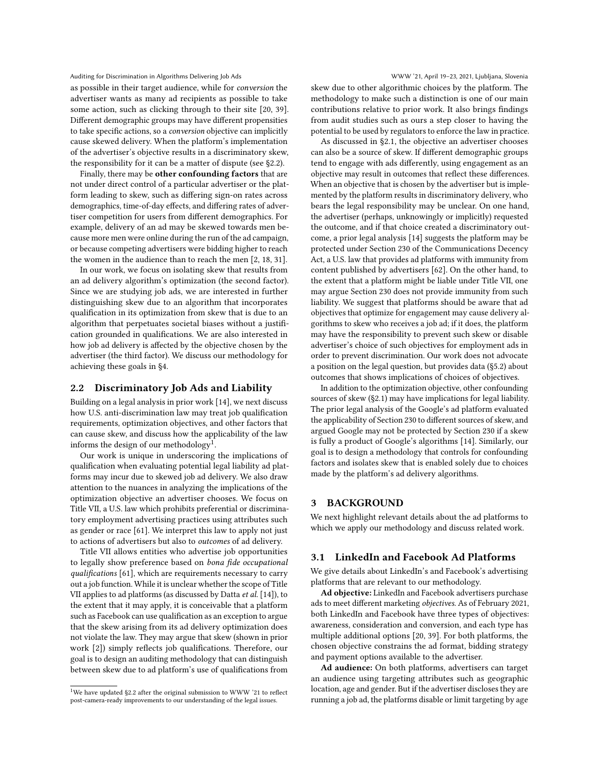as possible in their target audience, while for conversion the advertiser wants as many ad recipients as possible to take some action, such as clicking through to their site [\[20,](#page-11-14) [39\]](#page-11-15). Different demographic groups may have different propensities to take specific actions, so a conversion objective can implicitly cause skewed delivery. When the platform's implementation of the advertiser's objective results in a discriminatory skew, the responsibility for it can be a matter of dispute (see [§2.2\)](#page-2-0).

Finally, there may be other confounding factors that are not under direct control of a particular advertiser or the platform leading to skew, such as differing sign-on rates across demographics, time-of-day effects, and differing rates of advertiser competition for users from different demographics. For example, delivery of an ad may be skewed towards men because more men were online during the run of the ad campaign, or because competing advertisers were bidding higher to reach the women in the audience than to reach the men [\[2,](#page-11-5) [18,](#page-11-16) [31\]](#page-11-2).

In our work, we focus on isolating skew that results from an ad delivery algorithm's optimization (the second factor). Since we are studying job ads, we are interested in further distinguishing skew due to an algorithm that incorporates qualification in its optimization from skew that is due to an algorithm that perpetuates societal biases without a justification grounded in qualifications. We are also interested in how job ad delivery is affected by the objective chosen by the advertiser (the third factor). We discuss our methodology for achieving these goals in [§4.](#page-4-0)

### <span id="page-2-0"></span>2.2 Discriminatory Job Ads and Liability

Building on a legal analysis in prior work [\[14\]](#page-11-6), we next discuss how U.S. anti-discrimination law may treat job qualification requirements, optimization objectives, and other factors that can cause skew, and discuss how the applicability of the law informs the design of our methodology<sup>[1](#page-2-1)</sup>.

Our work is unique in underscoring the implications of qualification when evaluating potential legal liability ad platforms may incur due to skewed job ad delivery. We also draw attention to the nuances in analyzing the implications of the optimization objective an advertiser chooses. We focus on Title VII, a U.S. law which prohibits preferential or discriminatory employment advertising practices using attributes such as gender or race [\[61\]](#page-12-2). We interpret this law to apply not just to actions of advertisers but also to outcomes of ad delivery.

Title VII allows entities who advertise job opportunities to legally show preference based on bona fide occupational qualifications [\[61\]](#page-12-2), which are requirements necessary to carry out a job function. While it is unclear whether the scope of Title VII applies to ad platforms (as discussed by Datta et al. [\[14\]](#page-11-6)), to the extent that it may apply, it is conceivable that a platform such as Facebook can use qualification as an exception to argue that the skew arising from its ad delivery optimization does not violate the law. They may argue that skew (shown in prior work [\[2\]](#page-11-5)) simply reflects job qualifications. Therefore, our goal is to design an auditing methodology that can distinguish between skew due to ad platform's use of qualifications from

skew due to other algorithmic choices by the platform. The methodology to make such a distinction is one of our main contributions relative to prior work. It also brings findings from audit studies such as ours a step closer to having the potential to be used by regulators to enforce the law in practice.

As discussed in [§2.1,](#page-1-0) the objective an advertiser chooses can also be a source of skew. If different demographic groups tend to engage with ads differently, using engagement as an objective may result in outcomes that reflect these differences. When an objective that is chosen by the advertiser but is implemented by the platform results in discriminatory delivery, who bears the legal responsibility may be unclear. On one hand, the advertiser (perhaps, unknowingly or implicitly) requested the outcome, and if that choice created a discriminatory outcome, a prior legal analysis [\[14\]](#page-11-6) suggests the platform may be protected under Section 230 of the Communications Decency Act, a U.S. law that provides ad platforms with immunity from content published by advertisers [\[62\]](#page-12-5). On the other hand, to the extent that a platform might be liable under Title VII, one may argue Section 230 does not provide immunity from such liability. We suggest that platforms should be aware that ad objectives that optimize for engagement may cause delivery algorithms to skew who receives a job ad; if it does, the platform may have the responsibility to prevent such skew or disable advertiser's choice of such objectives for employment ads in order to prevent discrimination. Our work does not advocate a position on the legal question, but provides data [\(§5.2\)](#page-8-0) about outcomes that shows implications of choices of objectives.

In addition to the optimization objective, other confounding sources of skew [\(§2.1\)](#page-1-0) may have implications for legal liability. The prior legal analysis of the Google's ad platform evaluated the applicability of Section 230 to different sources of skew, and argued Google may not be protected by Section 230 if a skew is fully a product of Google's algorithms [\[14\]](#page-11-6). Similarly, our goal is to design a methodology that controls for confounding factors and isolates skew that is enabled solely due to choices made by the platform's ad delivery algorithms.

# 3 BACKGROUND

We next highlight relevant details about the ad platforms to which we apply our methodology and discuss related work.

# 3.1 LinkedIn and Facebook Ad Platforms

We give details about LinkedIn's and Facebook's advertising platforms that are relevant to our methodology.

Ad objective: LinkedIn and Facebook advertisers purchase ads to meet different marketing objectives. As of February 2021, both LinkedIn and Facebook have three types of objectives: awareness, consideration and conversion, and each type has multiple additional options [\[20,](#page-11-14) [39\]](#page-11-15). For both platforms, the chosen objective constrains the ad format, bidding strategy and payment options available to the advertiser.

Ad audience: On both platforms, advertisers can target an audience using targeting attributes such as geographic location, age and gender. But if the advertiser discloses they are running a job ad, the platforms disable or limit targeting by age

<span id="page-2-1"></span> $^{1}$  We have updated [§2.2](#page-2-0) after the original submission to WWW '21 to reflect post-camera-ready improvements to our understanding of the legal issues.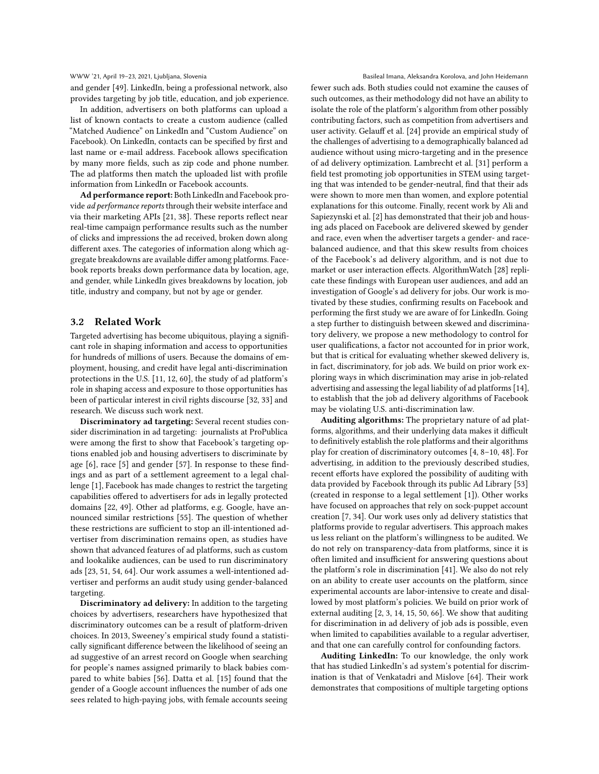and gender [\[49\]](#page-11-12). LinkedIn, being a professional network, also provides targeting by job title, education, and job experience.

In addition, advertisers on both platforms can upload a list of known contacts to create a custom audience (called "Matched Audience" on LinkedIn and "Custom Audience" on Facebook). On LinkedIn, contacts can be specified by first and last name or e-mail address. Facebook allows specification by many more fields, such as zip code and phone number. The ad platforms then match the uploaded list with profile information from LinkedIn or Facebook accounts.

Ad performance report: Both LinkedIn and Facebook provide ad performance reports through their website interface and via their marketing APIs [\[21,](#page-11-17) [38\]](#page-11-18). These reports reflect near real-time campaign performance results such as the number of clicks and impressions the ad received, broken down along different axes. The categories of information along which aggregate breakdowns are available differ among platforms. Facebook reports breaks down performance data by location, age, and gender, while LinkedIn gives breakdowns by location, job title, industry and company, but not by age or gender.

# 3.2 Related Work

Targeted advertising has become ubiquitous, playing a significant role in shaping information and access to opportunities for hundreds of millions of users. Because the domains of employment, housing, and credit have legal anti-discrimination protections in the U.S. [\[11,](#page-11-19) [12,](#page-11-20) [60\]](#page-12-6), the study of ad platform's role in shaping access and exposure to those opportunities has been of particular interest in civil rights discourse [\[32,](#page-11-21) [33\]](#page-11-22) and research. We discuss such work next.

Discriminatory ad targeting: Several recent studies consider discrimination in ad targeting: journalists at ProPublica were among the first to show that Facebook's targeting options enabled job and housing advertisers to discriminate by age [\[6\]](#page-11-10), race [\[5\]](#page-11-9) and gender [\[57\]](#page-12-3). In response to these findings and as part of a settlement agreement to a legal challenge [\[1\]](#page-11-23), Facebook has made changes to restrict the targeting capabilities offered to advertisers for ads in legally protected domains [\[22,](#page-11-11) [49\]](#page-11-12). Other ad platforms, e.g. Google, have announced similar restrictions [\[55\]](#page-11-13). The question of whether these restrictions are sufficient to stop an ill-intentioned advertiser from discrimination remains open, as studies have shown that advanced features of ad platforms, such as custom and lookalike audiences, can be used to run discriminatory ads [\[23,](#page-11-24) [51,](#page-11-25) [54,](#page-11-3) [64\]](#page-12-4). Our work assumes a well-intentioned advertiser and performs an audit study using gender-balanced targeting.

Discriminatory ad delivery: In addition to the targeting choices by advertisers, researchers have hypothesized that discriminatory outcomes can be a result of platform-driven choices. In 2013, Sweeney's empirical study found a statistically significant difference between the likelihood of seeing an ad suggestive of an arrest record on Google when searching for people's names assigned primarily to black babies compared to white babies [\[56\]](#page-11-4). Datta et al. [\[15\]](#page-11-1) found that the gender of a Google account influences the number of ads one sees related to high-paying jobs, with female accounts seeing

WWW '21, April 19–23, 2021, Ljubljana, Slovenia Basileal Imana, Aleksandra Korolova, and John Heidemann

fewer such ads. Both studies could not examine the causes of such outcomes, as their methodology did not have an ability to isolate the role of the platform's algorithm from other possibly contributing factors, such as competition from advertisers and user activity. Gelauff et al. [\[24\]](#page-11-26) provide an empirical study of the challenges of advertising to a demographically balanced ad audience without using micro-targeting and in the presence of ad delivery optimization. Lambrecht et al. [\[31\]](#page-11-2) perform a field test promoting job opportunities in STEM using targeting that was intended to be gender-neutral, find that their ads were shown to more men than women, and explore potential explanations for this outcome. Finally, recent work by Ali and Sapiezynski et al. [\[2\]](#page-11-5) has demonstrated that their job and housing ads placed on Facebook are delivered skewed by gender and race, even when the advertiser targets a gender- and racebalanced audience, and that this skew results from choices of the Facebook's ad delivery algorithm, and is not due to market or user interaction effects. AlgorithmWatch [\[28\]](#page-11-27) replicate these findings with European user audiences, and add an investigation of Google's ad delivery for jobs. Our work is motivated by these studies, confirming results on Facebook and performing the first study we are aware of for LinkedIn. Going a step further to distinguish between skewed and discriminatory delivery, we propose a new methodology to control for user qualifications, a factor not accounted for in prior work, but that is critical for evaluating whether skewed delivery is, in fact, discriminatory, for job ads. We build on prior work exploring ways in which discrimination may arise in job-related advertising and assessing the legal liability of ad platforms [\[14\]](#page-11-6), to establish that the job ad delivery algorithms of Facebook may be violating U.S. anti-discrimination law.

Auditing algorithms: The proprietary nature of ad platforms, algorithms, and their underlying data makes it difficult to definitively establish the role platforms and their algorithms play for creation of discriminatory outcomes [\[4,](#page-11-28) [8–](#page-11-29)[10,](#page-11-30) [48\]](#page-11-31). For advertising, in addition to the previously described studies, recent efforts have explored the possibility of auditing with data provided by Facebook through its public Ad Library [\[53\]](#page-11-32) (created in response to a legal settlement [\[1\]](#page-11-23)). Other works have focused on approaches that rely on sock-puppet account creation [\[7,](#page-11-33) [34\]](#page-11-34). Our work uses only ad delivery statistics that platforms provide to regular advertisers. This approach makes us less reliant on the platform's willingness to be audited. We do not rely on transparency-data from platforms, since it is often limited and insufficient for answering questions about the platform's role in discrimination [\[41\]](#page-11-35). We also do not rely on an ability to create user accounts on the platform, since experimental accounts are labor-intensive to create and disallowed by most platform's policies. We build on prior work of external auditing [\[2,](#page-11-5) [3,](#page-11-36) [14,](#page-11-6) [15,](#page-11-1) [50,](#page-11-37) [66\]](#page-12-7). We show that auditing for discrimination in ad delivery of job ads is possible, even when limited to capabilities available to a regular advertiser, and that one can carefully control for confounding factors.

Auditing LinkedIn: To our knowledge, the only work that has studied LinkedIn's ad system's potential for discrimination is that of Venkatadri and Mislove [\[64\]](#page-12-4). Their work demonstrates that compositions of multiple targeting options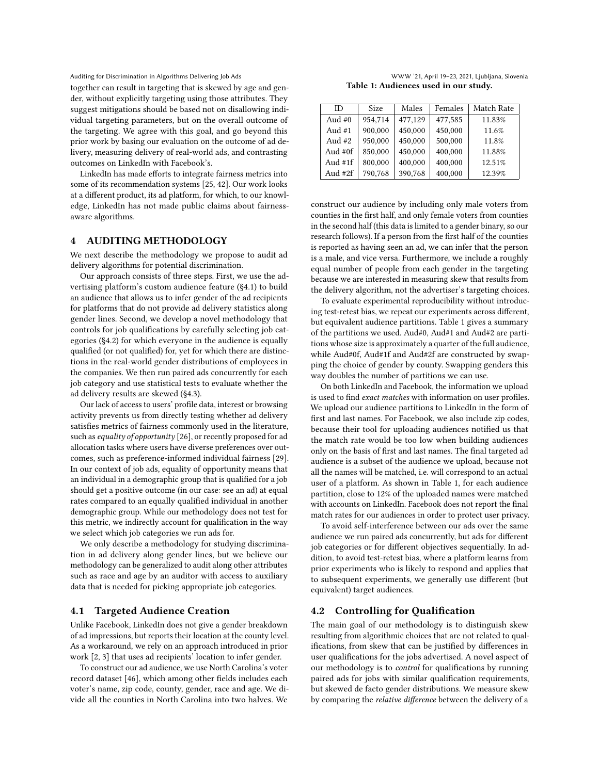together can result in targeting that is skewed by age and gender, without explicitly targeting using those attributes. They suggest mitigations should be based not on disallowing individual targeting parameters, but on the overall outcome of the targeting. We agree with this goal, and go beyond this prior work by basing our evaluation on the outcome of ad delivery, measuring delivery of real-world ads, and contrasting outcomes on LinkedIn with Facebook's.

LinkedIn has made efforts to integrate fairness metrics into some of its recommendation systems [\[25,](#page-11-38) [42\]](#page-11-39). Our work looks at a different product, its ad platform, for which, to our knowledge, LinkedIn has not made public claims about fairnessaware algorithms.

# <span id="page-4-0"></span>4 AUDITING METHODOLOGY

We next describe the methodology we propose to audit ad delivery algorithms for potential discrimination.

Our approach consists of three steps. First, we use the advertising platform's custom audience feature [\(§4.1\)](#page-4-1) to build an audience that allows us to infer gender of the ad recipients for platforms that do not provide ad delivery statistics along gender lines. Second, we develop a novel methodology that controls for job qualifications by carefully selecting job categories [\(§4.2\)](#page-4-2) for which everyone in the audience is equally qualified (or not qualified) for, yet for which there are distinctions in the real-world gender distributions of employees in the companies. We then run paired ads concurrently for each job category and use statistical tests to evaluate whether the ad delivery results are skewed [\(§4.3\)](#page-5-0).

Our lack of access to users' profile data, interest or browsing activity prevents us from directly testing whether ad delivery satisfies metrics of fairness commonly used in the literature, such as equality of opportunity [\[26\]](#page-11-40), or recently proposed for ad allocation tasks where users have diverse preferences over outcomes, such as preference-informed individual fairness [\[29\]](#page-11-41). In our context of job ads, equality of opportunity means that an individual in a demographic group that is qualified for a job should get a positive outcome (in our case: see an ad) at equal rates compared to an equally qualified individual in another demographic group. While our methodology does not test for this metric, we indirectly account for qualification in the way we select which job categories we run ads for.

We only describe a methodology for studying discrimination in ad delivery along gender lines, but we believe our methodology can be generalized to audit along other attributes such as race and age by an auditor with access to auxiliary data that is needed for picking appropriate job categories.

# <span id="page-4-1"></span>4.1 Targeted Audience Creation

Unlike Facebook, LinkedIn does not give a gender breakdown of ad impressions, but reports their location at the county level. As a workaround, we rely on an approach introduced in prior work [\[2,](#page-11-5) [3\]](#page-11-36) that uses ad recipients' location to infer gender.

To construct our ad audience, we use North Carolina's voter record dataset [\[46\]](#page-11-42), which among other fields includes each voter's name, zip code, county, gender, race and age. We divide all the counties in North Carolina into two halves. We

Table 1: Audiences used in our study.

<span id="page-4-3"></span>

| ID        | <b>Size</b> | Males   | Females | Match Rate |
|-----------|-------------|---------|---------|------------|
| Aud $#0$  | 954.714     | 477,129 | 477,585 | 11.83%     |
| Aud $#1$  | 900.000     | 450,000 | 450,000 | 11.6%      |
| Aud $#2$  | 950,000     | 450,000 | 500,000 | 11.8%      |
| Aud $#0f$ | 850,000     | 450,000 | 400,000 | 11.88%     |
| Aud $#1f$ | 800,000     | 400.000 | 400,000 | 12.51%     |
| Aud $#2f$ | 790,768     | 390,768 | 400.000 | 12.39%     |

construct our audience by including only male voters from counties in the first half, and only female voters from counties in the second half (this data is limited to a gender binary, so our research follows). If a person from the first half of the counties is reported as having seen an ad, we can infer that the person is a male, and vice versa. Furthermore, we include a roughly equal number of people from each gender in the targeting because we are interested in measuring skew that results from the delivery algorithm, not the advertiser's targeting choices.

To evaluate experimental reproducibility without introducing test-retest bias, we repeat our experiments across different, but equivalent audience partitions. [Table 1](#page-4-3) gives a summary of the partitions we used. Aud#0, Aud#1 and Aud#2 are partitions whose size is approximately a quarter of the full audience, while Aud#0f, Aud#1f and Aud#2f are constructed by swapping the choice of gender by county. Swapping genders this way doubles the number of partitions we can use.

On both LinkedIn and Facebook, the information we upload is used to find exact matches with information on user profiles. We upload our audience partitions to LinkedIn in the form of first and last names. For Facebook, we also include zip codes, because their tool for uploading audiences notified us that the match rate would be too low when building audiences only on the basis of first and last names. The final targeted ad audience is a subset of the audience we upload, because not all the names will be matched, i.e. will correspond to an actual user of a platform. As shown in [Table 1,](#page-4-3) for each audience partition, close to 12% of the uploaded names were matched with accounts on LinkedIn. Facebook does not report the final match rates for our audiences in order to protect user privacy.

To avoid self-interference between our ads over the same audience we run paired ads concurrently, but ads for different job categories or for different objectives sequentially. In addition, to avoid test-retest bias, where a platform learns from prior experiments who is likely to respond and applies that to subsequent experiments, we generally use different (but equivalent) target audiences.

# <span id="page-4-2"></span>4.2 Controlling for Qualification

The main goal of our methodology is to distinguish skew resulting from algorithmic choices that are not related to qualifications, from skew that can be justified by differences in user qualifications for the jobs advertised. A novel aspect of our methodology is to control for qualifications by running paired ads for jobs with similar qualification requirements, but skewed de facto gender distributions. We measure skew by comparing the relative difference between the delivery of a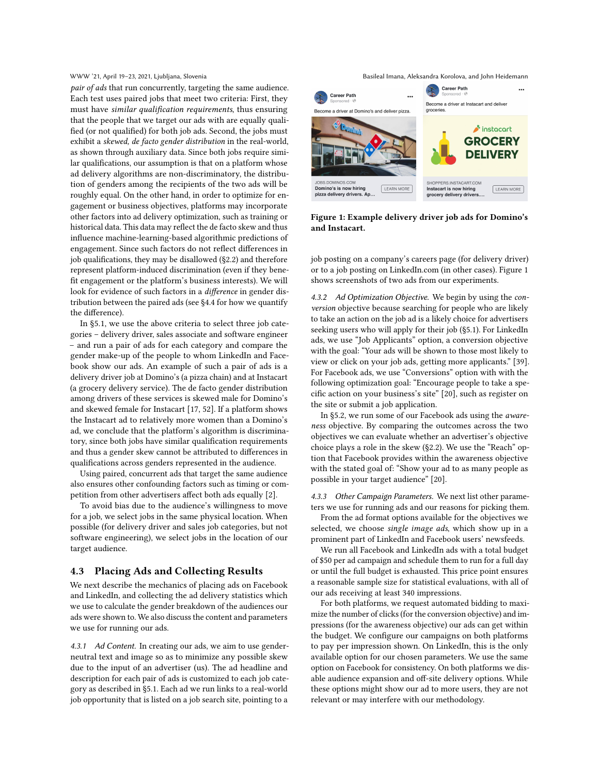pair of ads that run concurrently, targeting the same audience. Each test uses paired jobs that meet two criteria: First, they must have similar qualification requirements, thus ensuring that the people that we target our ads with are equally qualified (or not qualified) for both job ads. Second, the jobs must exhibit a skewed, de facto gender distribution in the real-world, as shown through auxiliary data. Since both jobs require similar qualifications, our assumption is that on a platform whose ad delivery algorithms are non-discriminatory, the distribution of genders among the recipients of the two ads will be roughly equal. On the other hand, in order to optimize for engagement or business objectives, platforms may incorporate other factors into ad delivery optimization, such as training or historical data. This data may reflect the de facto skew and thus influence machine-learning-based algorithmic predictions of engagement. Since such factors do not reflect differences in job qualifications, they may be disallowed [\(§2.2\)](#page-2-0) and therefore represent platform-induced discrimination (even if they benefit engagement or the platform's business interests). We will look for evidence of such factors in a difference in gender distribution between the paired ads (see [§4.4](#page-6-1) for how we quantify the difference).

In [§5.1,](#page-7-0) we use the above criteria to select three job categories – delivery driver, sales associate and software engineer – and run a pair of ads for each category and compare the gender make-up of the people to whom LinkedIn and Facebook show our ads. An example of such a pair of ads is a delivery driver job at Domino's (a pizza chain) and at Instacart (a grocery delivery service). The de facto gender distribution among drivers of these services is skewed male for Domino's and skewed female for Instacart [\[17,](#page-11-7) [52\]](#page-11-8). If a platform shows the Instacart ad to relatively more women than a Domino's ad, we conclude that the platform's algorithm is discriminatory, since both jobs have similar qualification requirements and thus a gender skew cannot be attributed to differences in qualifications across genders represented in the audience.

Using paired, concurrent ads that target the same audience also ensures other confounding factors such as timing or competition from other advertisers affect both ads equally [\[2\]](#page-11-5).

To avoid bias due to the audience's willingness to move for a job, we select jobs in the same physical location. When possible (for delivery driver and sales job categories, but not software engineering), we select jobs in the location of our target audience.

# <span id="page-5-0"></span>4.3 Placing Ads and Collecting Results

We next describe the mechanics of placing ads on Facebook and LinkedIn, and collecting the ad delivery statistics which we use to calculate the gender breakdown of the audiences our ads were shown to. We also discuss the content and parameters we use for running our ads.

<span id="page-5-3"></span>4.3.1 Ad Content. In creating our ads, we aim to use genderneutral text and image so as to minimize any possible skew due to the input of an advertiser (us). The ad headline and description for each pair of ads is customized to each job category as described in [§5.1.](#page-7-0) Each ad we run links to a real-world job opportunity that is listed on a job search site, pointing to a

WWW '21, April 19–23, 2021, Ljubljana, Slovenia Basileal Imana, Aleksandra Korolova, and John Heidemann

<span id="page-5-1"></span>

Figure 1: Example delivery driver job ads for Domino's and Instacart.

job posting on a company's careers page (for delivery driver) or to a job posting on LinkedIn.com (in other cases). [Figure 1](#page-5-1) shows screenshots of two ads from our experiments.

<span id="page-5-2"></span>4.3.2 Ad Optimization Objective. We begin by using the conversion objective because searching for people who are likely to take an action on the job ad is a likely choice for advertisers seeking users who will apply for their job [\(§5.1\)](#page-7-0). For LinkedIn ads, we use "Job Applicants" option, a conversion objective with the goal: "Your ads will be shown to those most likely to view or click on your job ads, getting more applicants." [\[39\]](#page-11-15). For Facebook ads, we use "Conversions" option with with the following optimization goal: "Encourage people to take a specific action on your business's site" [\[20\]](#page-11-14), such as register on the site or submit a job application.

In [§5.2,](#page-8-0) we run some of our Facebook ads using the awareness objective. By comparing the outcomes across the two objectives we can evaluate whether an advertiser's objective choice plays a role in the skew [\(§2.2\)](#page-2-0). We use the "Reach" option that Facebook provides within the awareness objective with the stated goal of: "Show your ad to as many people as possible in your target audience" [\[20\]](#page-11-14).

4.3.3 Other Campaign Parameters. We next list other parameters we use for running ads and our reasons for picking them.

From the ad format options available for the objectives we selected, we choose single image ads, which show up in a prominent part of LinkedIn and Facebook users' newsfeeds.

We run all Facebook and LinkedIn ads with a total budget of \$50 per ad campaign and schedule them to run for a full day or until the full budget is exhausted. This price point ensures a reasonable sample size for statistical evaluations, with all of our ads receiving at least 340 impressions.

For both platforms, we request automated bidding to maximize the number of clicks (for the conversion objective) and impressions (for the awareness objective) our ads can get within the budget. We configure our campaigns on both platforms to pay per impression shown. On LinkedIn, this is the only available option for our chosen parameters. We use the same option on Facebook for consistency. On both platforms we disable audience expansion and off-site delivery options. While these options might show our ad to more users, they are not relevant or may interfere with our methodology.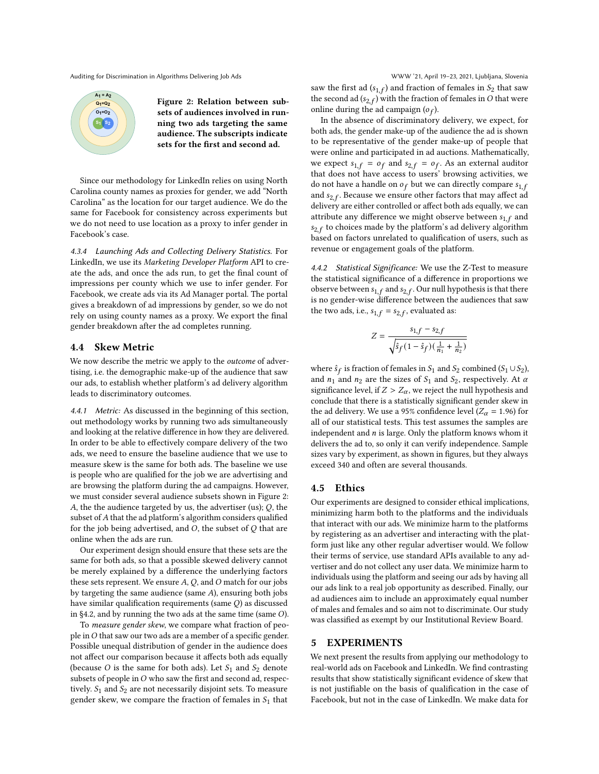<span id="page-6-2"></span>**S1 S2 A1 = A2 Q1=Q2 O1=O2**

Figure 2: Relation between subsets of audiences involved in running two ads targeting the same audience. The subscripts indicate sets for the first and second ad.

Since our methodology for LinkedIn relies on using North Carolina county names as proxies for gender, we add "North Carolina" as the location for our target audience. We do the same for Facebook for consistency across experiments but we do not need to use location as a proxy to infer gender in Facebook's case.

4.3.4 Launching Ads and Collecting Delivery Statistics. For LinkedIn, we use its Marketing Developer Platform API to create the ads, and once the ads run, to get the final count of impressions per county which we use to infer gender. For Facebook, we create ads via its Ad Manager portal. The portal gives a breakdown of ad impressions by gender, so we do not rely on using county names as a proxy. We export the final gender breakdown after the ad completes running.

### <span id="page-6-1"></span>4.4 Skew Metric

We now describe the metric we apply to the outcome of advertising, i.e. the demographic make-up of the audience that saw our ads, to establish whether platform's ad delivery algorithm leads to discriminatory outcomes.

4.4.1 Metric: As discussed in the beginning of this section, out methodology works by running two ads simultaneously and looking at the relative difference in how they are delivered. In order to be able to effectively compare delivery of the two ads, we need to ensure the baseline audience that we use to measure skew is the same for both ads. The baseline we use is people who are qualified for the job we are advertising and are browsing the platform during the ad campaigns. However, we must consider several audience subsets shown in [Figure 2:](#page-6-2) A, the the audience targeted by us, the advertiser (us);  $Q$ , the subset of  $A$  that the ad platform's algorithm considers qualified for the job being advertised, and  $O$ , the subset of  $O$  that are online when the ads are run.

Our experiment design should ensure that these sets are the same for both ads, so that a possible skewed delivery cannot be merely explained by a difference the underlying factors these sets represent. We ensure  $A$ ,  $Q$ , and  $O$  match for our jobs by targeting the same audience (same  $A$ ), ensuring both jobs have similar qualification requirements (same  $Q$ ) as discussed in  $\S 4.2$ , and by running the two ads at the same time (same  $O$ ).

To measure gender skew, we compare what fraction of people in  $O$  that saw our two ads are a member of a specific gender. Possible unequal distribution of gender in the audience does not affect our comparison because it affects both ads equally (because O is the same for both ads). Let  $S_1$  and  $S_2$  denote subsets of people in  $O$  who saw the first and second ad, respectively.  $S_1$  and  $S_2$  are not necessarily disjoint sets. To measure gender skew, we compare the fraction of females in  $S_1$  that

saw the first ad  $(s_{1,f})$  and fraction of females in  $S_2$  that saw the second ad ( $s_{2,f}$ ) with the fraction of females in  $O$  that were online during the ad campaign  $(o_f)$ .

In the absence of discriminatory delivery, we expect, for both ads, the gender make-up of the audience the ad is shown to be representative of the gender make-up of people that were online and participated in ad auctions. Mathematically, we expect  $s_{1,f} = o_f$  and  $s_{2,f} = o_f$ . As an external auditor that does not have access to users' browsing activities, we do not have a handle on  $o_f$  but we can directly compare  $s_{1,f}$ and  $s_{2,f}$ . Because we ensure other factors that may affect ad delivery are either controlled or affect both ads equally, we can attribute any difference we might observe between  $s_1$   $f$  and  $s_{2,f}$  to choices made by the platform's ad delivery algorithm based on factors unrelated to qualification of users, such as revenue or engagement goals of the platform.

4.4.2 Statistical Significance: We use the Z-Test to measure the statistical significance of a difference in proportions we observe between  $s_{1,f}$  and  $s_{2,f}$ . Our null hypothesis is that there is no gender-wise difference between the audiences that saw the two ads, i.e.,  $s_{1,f} = s_{2,f}$ , evaluated as:

$$
Z = \frac{s_{1,f} - s_{2,f}}{\sqrt{\hat{s}_f (1 - \hat{s}_f)(\frac{1}{n_1} + \frac{1}{n_2})}}
$$

where  $\hat{s}_f$  is fraction of females in  $S_1$  and  $S_2$  combined  $(S_1 \cup S_2)$ , and  $n_1$  and  $n_2$  are the sizes of  $S_1$  and  $S_2$ , respectively. At  $\alpha$ significance level, if  $Z > Z_\alpha$ , we reject the null hypothesis and conclude that there is a statistically significant gender skew in the ad delivery. We use a 95% confidence level ( $Z_{\alpha} = 1.96$ ) for all of our statistical tests. This test assumes the samples are independent and  $n$  is large. Only the platform knows whom it delivers the ad to, so only it can verify independence. Sample sizes vary by experiment, as shown in figures, but they always exceed 340 and often are several thousands.

# 4.5 Ethics

Our experiments are designed to consider ethical implications, minimizing harm both to the platforms and the individuals that interact with our ads. We minimize harm to the platforms by registering as an advertiser and interacting with the platform just like any other regular advertiser would. We follow their terms of service, use standard APIs available to any advertiser and do not collect any user data. We minimize harm to individuals using the platform and seeing our ads by having all our ads link to a real job opportunity as described. Finally, our ad audiences aim to include an approximately equal number of males and females and so aim not to discriminate. Our study was classified as exempt by our Institutional Review Board.

# <span id="page-6-0"></span>5 EXPERIMENTS

We next present the results from applying our methodology to real-world ads on Facebook and LinkedIn. We find contrasting results that show statistically significant evidence of skew that is not justifiable on the basis of qualification in the case of Facebook, but not in the case of LinkedIn. We make data for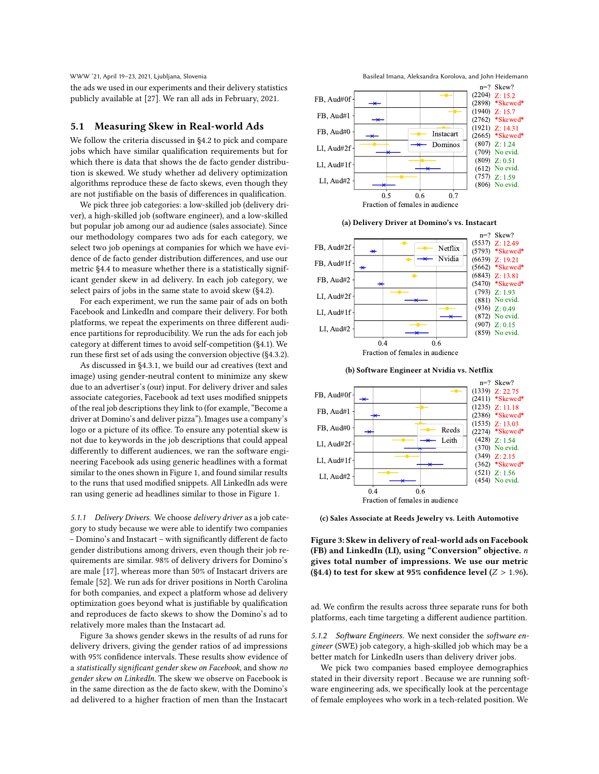the ads we used in our experiments and their delivery statistics publicly available at [\[27\]](#page-11-43). We ran all ads in February, 2021.

# <span id="page-7-0"></span>5.1 Measuring Skew in Real-world Ads

We follow the criteria discussed in [§4.2](#page-4-2) to pick and compare jobs which have similar qualification requirements but for which there is data that shows the de facto gender distribution is skewed. We study whether ad delivery optimization algorithms reproduce these de facto skews, even though they are not justifiable on the basis of differences in qualification.

We pick three job categories: a low-skilled job (delivery driver), a high-skilled job (software engineer), and a low-skilled but popular job among our ad audience (sales associate). Since our methodology compares two ads for each category, we select two job openings at companies for which we have evidence of de facto gender distribution differences, and use our metric [§4.4](#page-6-1) to measure whether there is a statistically significant gender skew in ad delivery. In each job category, we select pairs of jobs in the same state to avoid skew [\(§4.2\)](#page-4-2).

For each experiment, we run the same pair of ads on both Facebook and LinkedIn and compare their delivery. For both platforms, we repeat the experiments on three different audience partitions for reproducibility. We run the ads for each job category at different times to avoid self-competition [\(§4.1\)](#page-4-1). We run these first set of ads using the conversion objective [\(§4.3.2\)](#page-5-2).

As discussed in [§4.3.1,](#page-5-3) we build our ad creatives (text and image) using gender-neutral content to minimize any skew due to an advertiser's (our) input. For delivery driver and sales associate categories, Facebook ad text uses modified snippets of the real job descriptions they link to (for example, "Become a driver at Domino's and deliver pizza"). Images use a company's logo or a picture of its office. To ensure any potential skew is not due to keywords in the job descriptions that could appeal differently to different audiences, we ran the software engineering Facebook ads using generic headlines with a format similar to the ones shown in [Figure 1,](#page-5-1) and found similar results to the runs that used modified snippets. All LinkedIn ads were ran using generic ad headlines similar to those in [Figure 1.](#page-5-1)

5.1.1 Delivery Drivers. We choose delivery driver as a job category to study because we were able to identify two companies – Domino's and Instacart – with significantly different de facto gender distributions among drivers, even though their job requirements are similar. 98% of delivery drivers for Domino's are male [\[17\]](#page-11-7), whereas more than 50% of Instacart drivers are female [\[52\]](#page-11-8). We run ads for driver positions in North Carolina for both companies, and expect a platform whose ad delivery optimization goes beyond what is justifiable by qualification and reproduces de facto skews to show the Domino's ad to relatively more males than the Instacart ad.

[Figure 3a](#page-7-1) shows gender skews in the results of ad runs for delivery drivers, giving the gender ratios of ad impressions with 95% confidence intervals. These results show evidence of a statistically significant gender skew on Facebook, and show no gender skew on LinkedIn. The skew we observe on Facebook is in the same direction as the de facto skew, with the Domino's ad delivered to a higher fraction of men than the Instacart



<span id="page-7-1"></span>









(c) Sales Associate at Reeds Jewelry vs. Leith Automotive

Figure 3: Skew in delivery of real-world ads on Facebook (FB) and LinkedIn (LI), using "Conversion" objective. n gives total number of impressions. We use our metric [\(§4.4\)](#page-6-1) to test for skew at 95% confidence level ( $Z > 1.96$ ).

ad. We confirm the results across three separate runs for both platforms, each time targeting a different audience partition.

5.1.2 Software Engineers. We next consider the software engineer (SWE) job category, a high-skilled job which may be a better match for LinkedIn users than delivery driver jobs.

We pick two companies based employee demographics stated in their diversity report . Because we are running software engineering ads, we specifically look at the percentage of female employees who work in a tech-related position. We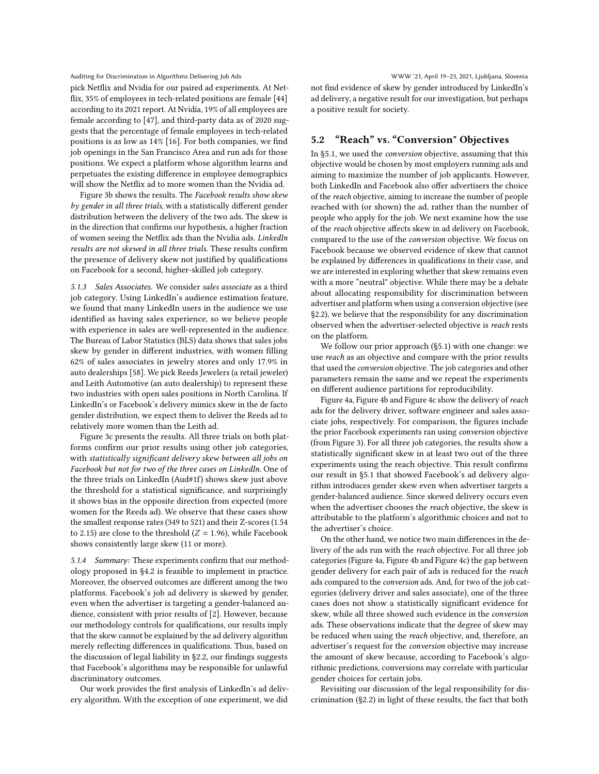pick Netflix and Nvidia for our paired ad experiments. At Netflix, 35% of employees in tech-related positions are female [\[44\]](#page-11-44) according to its 2021 report. At Nvidia, 19% of all employees are female according to [\[47\]](#page-11-45), and third-party data as of 2020 suggests that the percentage of female employees in tech-related positions is as low as 14% [\[16\]](#page-11-46). For both companies, we find job openings in the San Francisco Area and run ads for those positions. We expect a platform whose algorithm learns and perpetuates the existing difference in employee demographics will show the Netflix ad to more women than the Nvidia ad.

[Figure 3b](#page-7-1) shows the results. The Facebook results show skew by gender in all three trials, with a statistically different gender distribution between the delivery of the two ads. The skew is in the direction that confirms our hypothesis, a higher fraction of women seeing the Netflix ads than the Nvidia ads. LinkedIn results are not skewed in all three trials. These results confirm the presence of delivery skew not justified by qualifications on Facebook for a second, higher-skilled job category.

5.1.3 Sales Associates. We consider sales associate as a third job category. Using LinkedIn's audience estimation feature, we found that many LinkedIn users in the audience we use identified as having sales experience, so we believe people with experience in sales are well-represented in the audience. The Bureau of Labor Statistics (BLS) data shows that sales jobs skew by gender in different industries, with women filling 62% of sales associates in jewelry stores and only 17.9% in auto dealerships [\[58\]](#page-12-8). We pick Reeds Jewelers (a retail jeweler) and Leith Automotive (an auto dealership) to represent these two industries with open sales positions in North Carolina. If LinkedIn's or Facebook's delivery mimics skew in the de facto gender distribution, we expect them to deliver the Reeds ad to relatively more women than the Leith ad.

[Figure 3c](#page-7-1) presents the results. All three trials on both platforms confirm our prior results using other job categories, with statistically significant delivery skew between all jobs on Facebook but not for two of the three cases on LinkedIn. One of the three trials on LinkedIn (Aud#1f) shows skew just above the threshold for a statistical significance, and surprisingly it shows bias in the opposite direction from expected (more women for the Reeds ad). We observe that these cases show the smallest response rates (349 to 521) and their Z-scores (1.54 to 2.15) are close to the threshold ( $Z = 1.96$ ), while Facebook shows consistently large skew (11 or more).

5.1.4 Summary: These experiments confirm that our methodology proposed in [§4.2](#page-4-2) is feasible to implement in practice. Moreover, the observed outcomes are different among the two platforms. Facebook's job ad delivery is skewed by gender, even when the advertiser is targeting a gender-balanced audience, consistent with prior results of [\[2\]](#page-11-5). However, because our methodology controls for qualifications, our results imply that the skew cannot be explained by the ad delivery algorithm merely reflecting differences in qualifications. Thus, based on the discussion of legal liability in [§2.2,](#page-2-0) our findings suggests that Facebook's algorithms may be responsible for unlawful discriminatory outcomes.

Our work provides the first analysis of LinkedIn's ad delivery algorithm. With the exception of one experiment, we did not find evidence of skew by gender introduced by LinkedIn's ad delivery, a negative result for our investigation, but perhaps

# <span id="page-8-0"></span>5.2 "Reach" vs. "Conversion" Objectives

a positive result for society.

In [§5.1,](#page-7-0) we used the conversion objective, assuming that this objective would be chosen by most employers running ads and aiming to maximize the number of job applicants. However, both LinkedIn and Facebook also offer advertisers the choice of the reach objective, aiming to increase the number of people reached with (or shown) the ad, rather than the number of people who apply for the job. We next examine how the use of the reach objective affects skew in ad delivery on Facebook, compared to the use of the conversion objective. We focus on Facebook because we observed evidence of skew that cannot be explained by differences in qualifications in their case, and we are interested in exploring whether that skew remains even with a more "neutral" objective. While there may be a debate about allocating responsibility for discrimination between advertiser and platform when using a conversion objective (see [§2.2\)](#page-2-0), we believe that the responsibility for any discrimination observed when the advertiser-selected objective is reach rests on the platform.

We follow our prior approach [\(§5.1\)](#page-7-0) with one change: we use reach as an objective and compare with the prior results that used the conversion objective. The job categories and other parameters remain the same and we repeat the experiments on different audience partitions for reproducibility.

[Figure 4a, Figure 4b](#page-9-0) and [Figure 4c](#page-9-0) show the delivery of reach ads for the delivery driver, software engineer and sales associate jobs, respectively. For comparison, the figures include the prior Facebook experiments ran using conversion objective (from [Figure 3\)](#page-7-1). For all three job categories, the results show a statistically significant skew in at least two out of the three experiments using the reach objective. This result confirms our result in [§5.1](#page-7-0) that showed Facebook's ad delivery algorithm introduces gender skew even when advertiser targets a gender-balanced audience. Since skewed delivery occurs even when the advertiser chooses the reach objective, the skew is attributable to the platform's algorithmic choices and not to the advertiser's choice.

On the other hand, we notice two main differences in the delivery of the ads run with the reach objective. For all three job categories [\(Figure 4a, Figure 4b](#page-9-0) and [Figure 4c\)](#page-9-0) the gap between gender delivery for each pair of ads is reduced for the reach ads compared to the conversion ads. And, for two of the job categories (delivery driver and sales associate), one of the three cases does not show a statistically significant evidence for skew, while all three showed such evidence in the conversion ads. These observations indicate that the degree of skew may be reduced when using the reach objective, and, therefore, an advertiser's request for the conversion objective may increase the amount of skew because, according to Facebook's algorithmic predictions, conversions may correlate with particular gender choices for certain jobs.

Revisiting our discussion of the legal responsibility for discrimination [\(§2.2\)](#page-2-0) in light of these results, the fact that both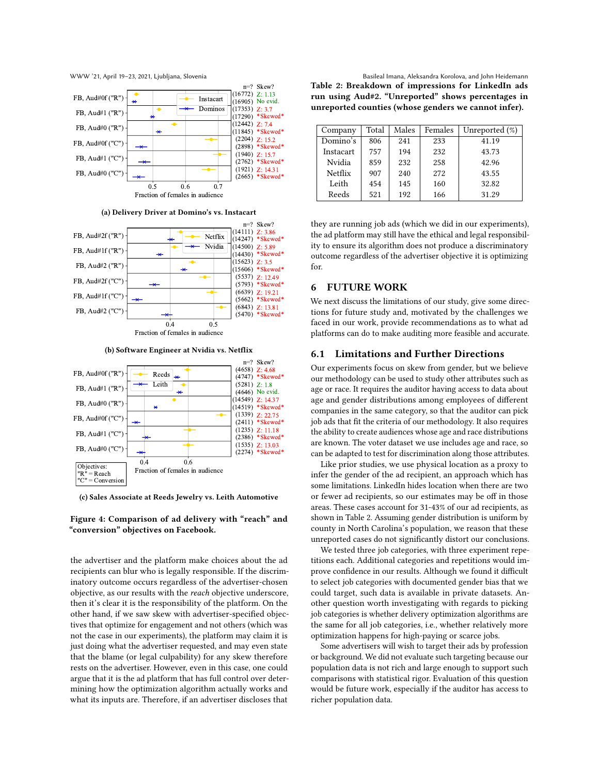

(a) Delivery Driver at Domino's vs. Instacart



(b) Software Engineer at Nvidia vs. Netflix



(c) Sales Associate at Reeds Jewelry vs. Leith Automotive

# Figure 4: Comparison of ad delivery with "reach" and "conversion" objectives on Facebook.

the advertiser and the platform make choices about the ad recipients can blur who is legally responsible. If the discriminatory outcome occurs regardless of the advertiser-chosen objective, as our results with the reach objective underscore, then it's clear it is the responsibility of the platform. On the other hand, if we saw skew with advertiser-specified objectives that optimize for engagement and not others (which was not the case in our experiments), the platform may claim it is just doing what the advertiser requested, and may even state that the blame (or legal culpability) for any skew therefore rests on the advertiser. However, even in this case, one could argue that it is the ad platform that has full control over determining how the optimization algorithm actually works and what its inputs are. Therefore, if an advertiser discloses that

WWW '21, April 19–23, 2021, Ljubljana, Slovenia Basilea Basileal Imana, Aleksandra Korolova, and John Heidemann Table 2: Breakdown of impressions for LinkedIn ads run using Aud#2. "Unreported" shows percentages in unreported counties (whose genders we cannot infer).

<span id="page-9-1"></span>

| Company   | Total | Males | Females | Unreported $(\%)$ |
|-----------|-------|-------|---------|-------------------|
| Domino's  | 806   | 241   | 233     | 41.19             |
| Instacart | 757   | 194   | 232     | 43.73             |
| Nvidia    | 859   | 232   | 258     | 42.96             |
| Netflix   | 907   | 240   | 272     | 43.55             |
| Leith     | 454   | 145   | 160     | 32.82             |
| Reeds     | 521   | 192   | 166     | 31.29             |

they are running job ads (which we did in our experiments), the ad platform may still have the ethical and legal responsibility to ensure its algorithm does not produce a discriminatory outcome regardless of the advertiser objective it is optimizing for.

# 6 FUTURE WORK

We next discuss the limitations of our study, give some directions for future study and, motivated by the challenges we faced in our work, provide recommendations as to what ad platforms can do to make auditing more feasible and accurate.

# 6.1 Limitations and Further Directions

Our experiments focus on skew from gender, but we believe our methodology can be used to study other attributes such as age or race. It requires the auditor having access to data about age and gender distributions among employees of different companies in the same category, so that the auditor can pick job ads that fit the criteria of our methodology. It also requires the ability to create audiences whose age and race distributions are known. The voter dataset we use includes age and race, so can be adapted to test for discrimination along those attributes.

Like prior studies, we use physical location as a proxy to infer the gender of the ad recipient, an approach which has some limitations. LinkedIn hides location when there are two or fewer ad recipients, so our estimates may be off in those areas. These cases account for 31-43% of our ad recipients, as shown in [Table 2.](#page-9-1) Assuming gender distribution is uniform by county in North Carolina's population, we reason that these unreported cases do not significantly distort our conclusions.

We tested three job categories, with three experiment repetitions each. Additional categories and repetitions would improve confidence in our results. Although we found it difficult to select job categories with documented gender bias that we could target, such data is available in private datasets. Another question worth investigating with regards to picking job categories is whether delivery optimization algorithms are the same for all job categories, i.e., whether relatively more optimization happens for high-paying or scarce jobs.

Some advertisers will wish to target their ads by profession or background. We did not evaluate such targeting because our population data is not rich and large enough to support such comparisons with statistical rigor. Evaluation of this question would be future work, especially if the auditor has access to richer population data.

<span id="page-9-0"></span>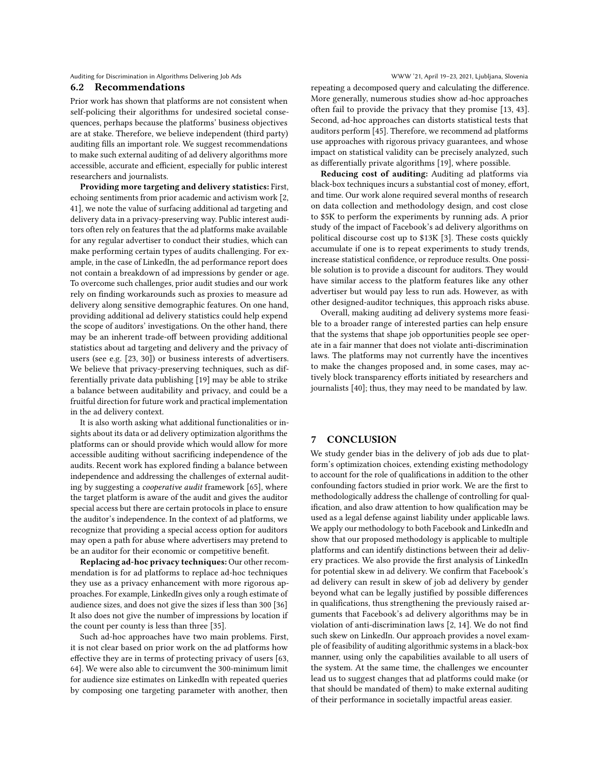# <span id="page-10-0"></span>6.2 Recommendations

Prior work has shown that platforms are not consistent when self-policing their algorithms for undesired societal consequences, perhaps because the platforms' business objectives are at stake. Therefore, we believe independent (third party) auditing fills an important role. We suggest recommendations to make such external auditing of ad delivery algorithms more accessible, accurate and efficient, especially for public interest researchers and journalists.

Providing more targeting and delivery statistics: First, echoing sentiments from prior academic and activism work [\[2,](#page-11-5) [41\]](#page-11-35), we note the value of surfacing additional ad targeting and delivery data in a privacy-preserving way. Public interest auditors often rely on features that the ad platforms make available for any regular advertiser to conduct their studies, which can make performing certain types of audits challenging. For example, in the case of LinkedIn, the ad performance report does not contain a breakdown of ad impressions by gender or age. To overcome such challenges, prior audit studies and our work rely on finding workarounds such as proxies to measure ad delivery along sensitive demographic features. On one hand, providing additional ad delivery statistics could help expend the scope of auditors' investigations. On the other hand, there may be an inherent trade-off between providing additional statistics about ad targeting and delivery and the privacy of users (see e.g. [\[23,](#page-11-24) [30\]](#page-11-47)) or business interests of advertisers. We believe that privacy-preserving techniques, such as differentially private data publishing [\[19\]](#page-11-48) may be able to strike a balance between auditability and privacy, and could be a fruitful direction for future work and practical implementation in the ad delivery context.

It is also worth asking what additional functionalities or insights about its data or ad delivery optimization algorithms the platforms can or should provide which would allow for more accessible auditing without sacrificing independence of the audits. Recent work has explored finding a balance between independence and addressing the challenges of external auditing by suggesting a cooperative audit framework [\[65\]](#page-12-9), where the target platform is aware of the audit and gives the auditor special access but there are certain protocols in place to ensure the auditor's independence. In the context of ad platforms, we recognize that providing a special access option for auditors may open a path for abuse where advertisers may pretend to be an auditor for their economic or competitive benefit.

Replacing ad-hoc privacy techniques: Our other recommendation is for ad platforms to replace ad-hoc techniques they use as a privacy enhancement with more rigorous approaches. For example, LinkedIn gives only a rough estimate of audience sizes, and does not give the sizes if less than 300 [\[36\]](#page-11-49) It also does not give the number of impressions by location if the count per county is less than three [\[35\]](#page-11-50).

Such ad-hoc approaches have two main problems. First, it is not clear based on prior work on the ad platforms how effective they are in terms of protecting privacy of users [\[63,](#page-12-10) [64\]](#page-12-4). We were also able to circumvent the 300-minimum limit for audience size estimates on LinkedIn with repeated queries by composing one targeting parameter with another, then

repeating a decomposed query and calculating the difference. More generally, numerous studies show ad-hoc approaches often fail to provide the privacy that they promise [\[13,](#page-11-51) [43\]](#page-11-52). Second, ad-hoc approaches can distorts statistical tests that auditors perform [\[45\]](#page-11-53). Therefore, we recommend ad platforms use approaches with rigorous privacy guarantees, and whose impact on statistical validity can be precisely analyzed, such as differentially private algorithms [\[19\]](#page-11-48), where possible.

Reducing cost of auditing: Auditing ad platforms via black-box techniques incurs a substantial cost of money, effort, and time. Our work alone required several months of research on data collection and methodology design, and cost close to \$5K to perform the experiments by running ads. A prior study of the impact of Facebook's ad delivery algorithms on political discourse cost up to \$13K [\[3\]](#page-11-36). These costs quickly accumulate if one is to repeat experiments to study trends, increase statistical confidence, or reproduce results. One possible solution is to provide a discount for auditors. They would have similar access to the platform features like any other advertiser but would pay less to run ads. However, as with other designed-auditor techniques, this approach risks abuse.

Overall, making auditing ad delivery systems more feasible to a broader range of interested parties can help ensure that the systems that shape job opportunities people see operate in a fair manner that does not violate anti-discrimination laws. The platforms may not currently have the incentives to make the changes proposed and, in some cases, may actively block transparency efforts initiated by researchers and journalists [\[40\]](#page-11-54); thus, they may need to be mandated by law.

### 7 CONCLUSION

We study gender bias in the delivery of job ads due to platform's optimization choices, extending existing methodology to account for the role of qualifications in addition to the other confounding factors studied in prior work. We are the first to methodologically address the challenge of controlling for qualification, and also draw attention to how qualification may be used as a legal defense against liability under applicable laws. We apply our methodology to both Facebook and LinkedIn and show that our proposed methodology is applicable to multiple platforms and can identify distinctions between their ad delivery practices. We also provide the first analysis of LinkedIn for potential skew in ad delivery. We confirm that Facebook's ad delivery can result in skew of job ad delivery by gender beyond what can be legally justified by possible differences in qualifications, thus strengthening the previously raised arguments that Facebook's ad delivery algorithms may be in violation of anti-discrimination laws [\[2,](#page-11-5) [14\]](#page-11-6). We do not find such skew on LinkedIn. Our approach provides a novel example of feasibility of auditing algorithmic systems in a black-box manner, using only the capabilities available to all users of the system. At the same time, the challenges we encounter lead us to suggest changes that ad platforms could make (or that should be mandated of them) to make external auditing of their performance in societally impactful areas easier.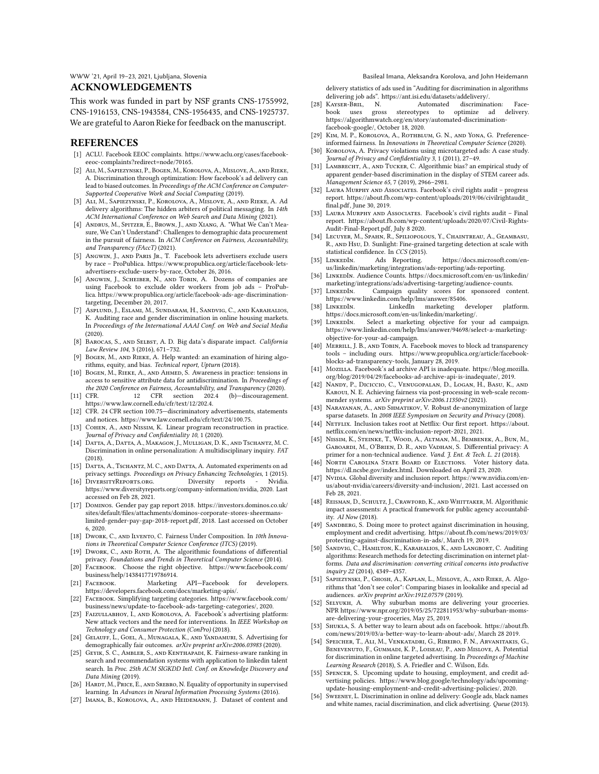### ACKNOWLEDGEMENTS

This work was funded in part by NSF grants CNS-1755992, CNS-1916153, CNS-1943584, CNS-1956435, and CNS-1925737. We are grateful to Aaron Rieke for feedback on the manuscript.

### REFERENCES

- <span id="page-11-23"></span>[1] ACLU. Facebook EEOC complaints. [https://www.aclu.org/cases/facebook](https://www.aclu.org/cases/facebook-eeoc-complaints?redirect=node/70165)[eeoc-complaints?redirect=node/70165.](https://www.aclu.org/cases/facebook-eeoc-complaints?redirect=node/70165)
- <span id="page-11-5"></span>[2] Ali, M., Sapiezynski, P., Bogen, M., Korolova, A., Mislove, A., and Rieke, A. Discrimination through optimization: How facebook's ad delivery can lead to biased outcomes. In Proceedings of the ACM Conference on Computer-Supported Cooperative Work and Social Computing (2019).
- <span id="page-11-36"></span>[3] Ali, M., Sapiezynski, P., Korolova, A., Mislove, A., and Rieke, A. Ad delivery algorithms: The hidden arbiters of political messaging. In 14th ACM International Conference on Web Search and Data Mining (2021).
- <span id="page-11-28"></span>[4] ANDRUS, M., SPITZER, E., BROWN, J., AND XIANG, A. "What We Can't Measure, We Can't Understand": Challenges to demographic data procurement in the pursuit of fairness. In ACM Conference on Fairness, Accountability, and Transparency (FAccT) (2021).
- <span id="page-11-9"></span>[5] ANGWIN, J., AND PARIS JR., T. Facebook lets advertisers exclude users by race – ProPublica. [https://www.propublica.org/article/facebook-lets](https://www.propublica.org/article/facebook-lets-advertisers-exclude-users-by-race)[advertisers-exclude-users-by-race,](https://www.propublica.org/article/facebook-lets-advertisers-exclude-users-by-race) October 26, 2016.
- <span id="page-11-10"></span>[6] Angwin, J., Scheiber, N., and Tobin, A. Dozens of companies are using Facebook to exclude older workers from job ads – ProPublica. [https://www.propublica.org/article/facebook-ads-age-discrimination](https://www.propublica.org/article/facebook-ads-age-discrimination-targeting)[targeting,](https://www.propublica.org/article/facebook-ads-age-discrimination-targeting) December 20, 2017.
- <span id="page-11-33"></span>[7] Asplund, J., Eslami, M., Sundaram, H., Sandvig, C., and Karahalios, K. Auditing race and gender discrimination in online housing markets. In Proceedings of the International AAAI Conf. on Web and Social Media (2020).
- <span id="page-11-29"></span>[8] BAROCAS, S., AND SELBST, A. D. Big data's disparate impact. California Law Review 104, 3 (2016), 671–732.
- [9] BOGEN, M., AND RIEKE, A. Help wanted: an examination of hiring algorithms, equity, and bias. Technical report, Upturn (2018).
- <span id="page-11-30"></span>[10] BOGEN, M., RIEKE, A., AND AHMED, S. Awareness in practice: tensions in access to sensitive attribute data for antidiscrimination. In Proceedings of the 2020 Conference on Fairness, Accountability, and Transparency (2020).<br>[11] CFR. 12 CFR section 202.4 (b)-discouragement
- <span id="page-11-19"></span>(b)-discouragement. https://www.law.cornell.edu/cfr/text/12/202.4.
- <span id="page-11-20"></span>[12] CFR. 24 CFR section 100.75—discriminatory advertisements, statements and notices. https://www.law.cornell.edu/cfr/text/24/100.75.
- <span id="page-11-51"></span>[13] COHEN, A., AND NISSIM, K. Linear program reconstruction in practice. Journal of Privacy and Confidentiality 10, 1 (2020).
- <span id="page-11-6"></span>[14] DATTA, A., DATTA, A., MAKAGON, J., MULLIGAN, D. K., AND TSCHANTZ, M. C. Discrimination in online personalization: A multidisciplinary inquiry. FAT (2018).
- <span id="page-11-1"></span>[15] DATTA, A., TSCHANTZ, M. C., AND DATTA, A. Automated experiments on ad privacy settings. *Proceedings on Privacy Enhancing Technologies*, 1 (2015).<br>Diversity reports - Nvidia.
- <span id="page-11-46"></span>[16] DIVERSITYREPORTS.ORG. Diversity reports - Nvidia. https://www.diversityreports.org/company-information/nvidia, 2020. Last accessed on Feb 28, 2021.
- <span id="page-11-7"></span>[17] Dominos. Gender pay gap report 2018. [https://investors.dominos.co.uk/](https://investors.dominos.co.uk/sites/default/files/attachments/dominos-corporate-stores-sheermans-limited-gender-pay-gap-2018-report.pdf) [sites/default/files/attachments/dominos-corporate-stores-sheermans](https://investors.dominos.co.uk/sites/default/files/attachments/dominos-corporate-stores-sheermans-limited-gender-pay-gap-2018-report.pdf)[limited-gender-pay-gap-2018-report.pdf,](https://investors.dominos.co.uk/sites/default/files/attachments/dominos-corporate-stores-sheermans-limited-gender-pay-gap-2018-report.pdf) 2018. Last accessed on October 6, 2020.
- <span id="page-11-16"></span>[18] DWORK, C., AND ILVENTO, C. Fairness Under Composition. In 10th Innovations in Theoretical Computer Science Conference (ITCS) (2019).
- <span id="page-11-48"></span>[19] Dwork, C., AND ROTH, A. The algorithmic foundations of differential privacy. Foundations and Trends in Theoretical Computer Science (2014).
- <span id="page-11-14"></span>[20] FACEBOOK. Choose the right objective. [https://www.facebook.com/](https://www.facebook.com/business/help/1438417719786914) [business/help/1438417719786914.](https://www.facebook.com/business/help/1438417719786914)
- <span id="page-11-17"></span>[21] Facebook. Marketing API—Facebook for developers. https://developers.facebook.com/docs/marketing-apis/.
- <span id="page-11-11"></span>[22] Facebook. Simplifying targeting categories. [https://www.facebook.com/](https://www.facebook.com/business/news/update-to-facebook-ads-targeting-categories/) [business/news/update-to-facebook-ads-targeting-categories/,](https://www.facebook.com/business/news/update-to-facebook-ads-targeting-categories/) 2020.
- <span id="page-11-24"></span>[23] FAIZULLABHOY, I., AND KOROLOVA, A. Facebook's advertising platform: New attack vectors and the need for interventions. In IEEE Workshop on Technology and Consumer Protection (ConPro) (2018).
- <span id="page-11-26"></span>[24] Gelauff, L., Goel, A., Munagala, K., and Yandamuri, S. Advertising for demographically fair outcomes. arXiv preprint arXiv:2006.03983 (2020).
- <span id="page-11-38"></span>[25] GEYIK, S. C., AMBLER, S., AND KENTHAPADI, K. Fairness-aware ranking in search and recommendation systems with application to linkedin talent search. In Proc. 25th ACM SIGKDD Intl. Conf. on Knowledge Discovery and Data Mining (2019).
- <span id="page-11-40"></span>[26] HARDT, M., PRICE, E., AND SREBRO, N. Equality of opportunity in supervised learning. In Advances in Neural Information Processing Systems (2016).
- <span id="page-11-43"></span>[27] IMANA, B., KOROLOVA, A., AND HEIDEMANN, J. Dataset of content and

delivery statistics of ads used in "Auditing for discrimination in algorithms delivering job ads". [https://ant.isi.edu/datasets/addelivery/.](https://ant.isi.edu/datasets/addelivery/)<br>
[28] KAYSER-BRIL, N. Automated discrimination: Face-

- <span id="page-11-27"></span>book uses gross stereotypes to optimize ad delivery. https://algorithmwatch.org/en/story/automated-discriminationfacebook-google/, October 18, 2020.
- <span id="page-11-41"></span>[29] Kim, M. P., Korolova, A., Rothblum, G. N., and Yona, G. Preferenceinformed fairness. In Innovations in Theoretical Computer Science (2020).
- <span id="page-11-47"></span>[30] KOROLOVA, A. Privacy violations using microtargeted ads: A case study. Journal of Privacy and Confidentiality 3, 1 (2011), 27–49.
- <span id="page-11-2"></span>[31] LAMBRECHT, A., AND TUCKER, C. Algorithmic bias? an empirical study of apparent gender-based discrimination in the display of STEM career ads. Management Science 65, 7 (2019), 2966–2981.
- <span id="page-11-21"></span>[32] Laura Murphy and Associates. Facebook's civil rights audit – progress report. [https://about.fb.com/wp-content/uploads/2019/06/civilrightaudit\\_](https://about.fb.com/wp-content/uploads/2019/06/civilrightaudit_final.pdf) [final.pdf,](https://about.fb.com/wp-content/uploads/2019/06/civilrightaudit_final.pdf) June 30, 2019.
- <span id="page-11-22"></span>[33] Laura Murphy and Associates. Facebook's civil rights audit – Final report. [https://about.fb.com/wp-content/uploads/2020/07/Civil-Rights-](https://about.fb.com/wp-content/uploads/2020/07/Civil-Rights-Audit-Final-Report.pdf)[Audit-Final-Report.pdf,](https://about.fb.com/wp-content/uploads/2020/07/Civil-Rights-Audit-Final-Report.pdf) July 8 2020.
- <span id="page-11-34"></span>[34] Lecuyer, M., Spahn, R., Spiliopolous, Y., Chaintreau, A., Geambasu, R., and Hsu, D. Sunlight: Fine-grained targeting detection at scale with statistical confidence. In CCS (2015).
- <span id="page-11-50"></span>[35] LINKEDIN. Ads Reporting. https://docs.microsoft.com/enus/linkedin/marketing/integrations/ads-reporting/ads-reporting.
- <span id="page-11-49"></span>[36] LinkedIn. Audience Counts. [https://docs.microsoft.com/en-us/linkedin/](https://docs.microsoft.com/en-us/linkedin/marketing/integrations/ads/advertising-targeting/audience-counts) [marketing/integrations/ads/advertising-targeting/audience-counts.](https://docs.microsoft.com/en-us/linkedin/marketing/integrations/ads/advertising-targeting/audience-counts)
- <span id="page-11-0"></span>[37] LinkedIn. Campaign quality scores for sponsored content. https://www.linkedin.com/help/lms/answer/85406.
- <span id="page-11-18"></span>[38] LinkedIn. LinkedIn marketing developer platform. https://docs.microsoft.com/en-us/linkedin/marketing/.
- <span id="page-11-15"></span>[39] LINKEDIN. Select a marketing objective for your ad campaign. [https://www.linkedin.com/help/lms/answer/94698/select-a-marketing](https://www.linkedin.com/help/lms/answer/94698/select-a-marketing-objective-for-your-ad-campaign)[objective-for-your-ad-campaign.](https://www.linkedin.com/help/lms/answer/94698/select-a-marketing-objective-for-your-ad-campaign)
- <span id="page-11-54"></span>[40] MERRILL, J. B., AND TOBIN, A. Facebook moves to block ad transparency tools – including ours. [https://www.propublica.org/article/facebook](https://www.propublica.org/article/facebook-blocks-ad-transparency-tools)[blocks-ad-transparency-tools,](https://www.propublica.org/article/facebook-blocks-ad-transparency-tools) January 28, 2019.
- <span id="page-11-35"></span>[41] MozILLA. Facebook's ad archive API is inadequate. [https://blog.mozilla.](https://blog.mozilla.org/blog/2019/04/29/facebooks-ad-archive-api-is-inadequate/) [org/blog/2019/04/29/facebooks-ad-archive-api-is-inadequate/,](https://blog.mozilla.org/blog/2019/04/29/facebooks-ad-archive-api-is-inadequate/) 2019.
- <span id="page-11-39"></span>[42] Nandy, P., Diciccio, C., Venugopalan, D., Logan, H., Basu, K., and Karoui, N. E. Achieving fairness via post-processing in web-scale recommender systems. arXiv preprint arXiv:2006.11350v2 (2021).
- <span id="page-11-52"></span>[43] NARAYANAN, A., AND SHMATIKOV, V. Robust de-anonymization of large sparse datasets. In 2008 IEEE Symposium on Security and Privacy (2008).
- <span id="page-11-44"></span>[44] NETFLIX. Inclusion takes root at Netflix: Our first report. [https://about.](https://about.netflix.com/en/news/netflix-inclusion-report-2021) [netflix.com/en/news/netflix-inclusion-report-2021,](https://about.netflix.com/en/news/netflix-inclusion-report-2021) 2021.
- <span id="page-11-53"></span>[45] Nissim, K., Steinke, T., Wood, A., Altman, M., Bembenek, A., Bun, M., Gaboardi, M., O'Brien, D. R., and Vadhan, S. Differential privacy: A primer for a non-technical audience. *Vand. J. Ent. & Tech. L. 21* (2018). [46] NORTH CAROLINA STATE BOARD OF ELECTIONS. Voter history data.
- <span id="page-11-42"></span>https://dl.ncsbe.gov/index.html. Downloaded on April 23, 2020.
- <span id="page-11-45"></span>[47] NVIDIA. Global diversity and inclusion report. https://www.nvidia.com/enus/about-nvidia/careers/diversity-and-inclusion/, 2021. Last accessed on Feb 28, 2021.
- <span id="page-11-31"></span>[48] REISMAN, D., SCHULTZ, J., CRAWFORD, K., AND WHITTAKER, M. Algorithmic impact assessments: A practical framework for public agency accountability. AI Now (2018).
- <span id="page-11-12"></span>[49] SANDBERG, S. Doing more to protect against discrimination in housing, employment and credit advertising. [https://about.fb.com/news/2019/03/](https://about.fb.com/news/2019/03/protecting-against-discrimination-in-ads/) [protecting-against-discrimination-in-ads/,](https://about.fb.com/news/2019/03/protecting-against-discrimination-in-ads/) March 19, 2019.
- <span id="page-11-37"></span>[50] Sandvig, C., Hamilton, K., Karahalios, K., and Langbort, C. Auditing algorithms: Research methods for detecting discrimination on internet platforms. Data and discrimination: converting critical concerns into productive inquiry 22 (2014), 4349–4357.
- <span id="page-11-25"></span>[51] Sapiezynski, P., Ghosh, A., Kaplan, L., Mislove, A., and Rieke, A. Algorithms that "don't see color": Comparing biases in lookalike and special ad audiences. arXiv preprint arXiv:1912.07579 (2019).
- <span id="page-11-8"></span>[52] SELYUKH, A. Why suburban moms are delivering your groceries. NPR [https://www.npr.org/2019/05/25/722811953/why-suburban-moms](https://www.npr.org/2019/05/25/722811953/why-suburban-moms-are-delivering-your-groceries)[are-delivering-your-groceries,](https://www.npr.org/2019/05/25/722811953/why-suburban-moms-are-delivering-your-groceries) May 25, 2019.
- <span id="page-11-32"></span>[53] Shukla, S. A better way to learn about ads on facebook. [https://about.fb.](https://about.fb.com/news/2019/03/a-better-way-to-learn-about-ads/) [com/news/2019/03/a-better-way-to-learn-about-ads/,](https://about.fb.com/news/2019/03/a-better-way-to-learn-about-ads/) March 28 2019.
- <span id="page-11-3"></span>[54] Speicher, T., Ali, M., Venkatadri, G., Ribeiro, F. N., Arvanitakis, G., Benevenuto, F., Gummadi, K. P., Loiseau, P., and Mislove, A. Potential for discrimination in online targeted advertising. In Proceedings of Machine Learning Research (2018), S. A. Friedler and C. Wilson, Eds.
- <span id="page-11-13"></span>[55] Spencer, S. Upcoming update to housing, employment, and credit advertising policies. [https://www.blog.google/technology/ads/upcoming](https://www.blog.google/technology/ads/upcoming-update-housing-employment-and-credit-advertising-policies/)[update-housing-employment-and-credit-advertising-policies/,](https://www.blog.google/technology/ads/upcoming-update-housing-employment-and-credit-advertising-policies/) 2020.
- <span id="page-11-4"></span>[56] Sweeney, L. Discrimination in online ad delivery: Google ads, black names and white names, racial discrimination, and click advertising. Queue (2013).